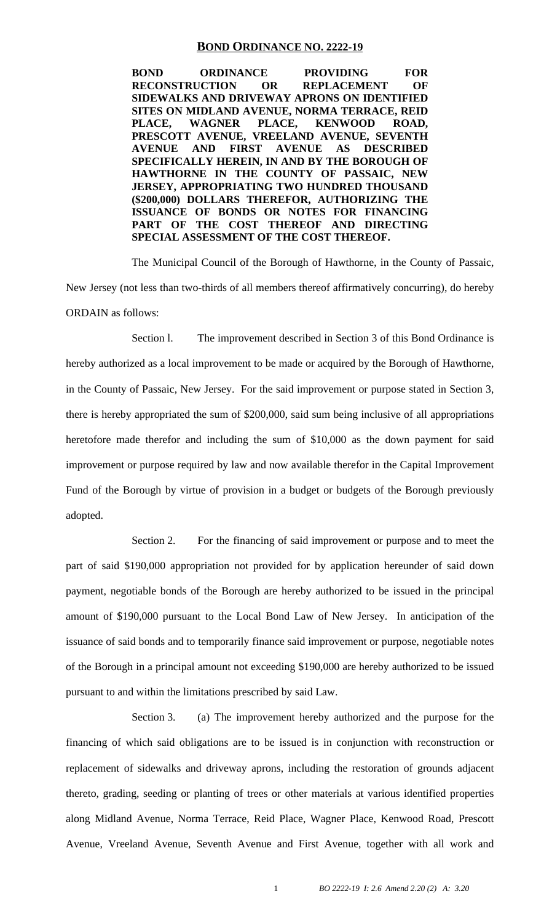#### **BOND ORDINANCE NO. 2222-19**

**BOND ORDINANCE PROVIDING FOR RECONSTRUCTION OR REPLACEMENT OF SIDEWALKS AND DRIVEWAY APRONS ON IDENTIFIED SITES ON MIDLAND AVENUE, NORMA TERRACE, REID PLACE, WAGNER PLACE, KENWOOD ROAD, PRESCOTT AVENUE, VREELAND AVENUE, SEVENTH AVENUE AND FIRST AVENUE AS DESCRIBED SPECIFICALLY HEREIN, IN AND BY THE BOROUGH OF HAWTHORNE IN THE COUNTY OF PASSAIC, NEW JERSEY, APPROPRIATING TWO HUNDRED THOUSAND (\$200,000) DOLLARS THEREFOR, AUTHORIZING THE ISSUANCE OF BONDS OR NOTES FOR FINANCING PART OF THE COST THEREOF AND DIRECTING SPECIAL ASSESSMENT OF THE COST THEREOF.**

The Municipal Council of the Borough of Hawthorne, in the County of Passaic, New Jersey (not less than two-thirds of all members thereof affirmatively concurring), do hereby ORDAIN as follows:

Section l. The improvement described in Section 3 of this Bond Ordinance is hereby authorized as a local improvement to be made or acquired by the Borough of Hawthorne, in the County of Passaic, New Jersey. For the said improvement or purpose stated in Section 3, there is hereby appropriated the sum of \$200,000, said sum being inclusive of all appropriations heretofore made therefor and including the sum of \$10,000 as the down payment for said improvement or purpose required by law and now available therefor in the Capital Improvement Fund of the Borough by virtue of provision in a budget or budgets of the Borough previously adopted.

Section 2. For the financing of said improvement or purpose and to meet the part of said \$190,000 appropriation not provided for by application hereunder of said down payment, negotiable bonds of the Borough are hereby authorized to be issued in the principal amount of \$190,000 pursuant to the Local Bond Law of New Jersey. In anticipation of the issuance of said bonds and to temporarily finance said improvement or purpose, negotiable notes of the Borough in a principal amount not exceeding \$190,000 are hereby authorized to be issued pursuant to and within the limitations prescribed by said Law.

Section 3. (a) The improvement hereby authorized and the purpose for the financing of which said obligations are to be issued is in conjunction with reconstruction or replacement of sidewalks and driveway aprons, including the restoration of grounds adjacent thereto, grading, seeding or planting of trees or other materials at various identified properties along Midland Avenue, Norma Terrace, Reid Place, Wagner Place, Kenwood Road, Prescott Avenue, Vreeland Avenue, Seventh Avenue and First Avenue, together with all work and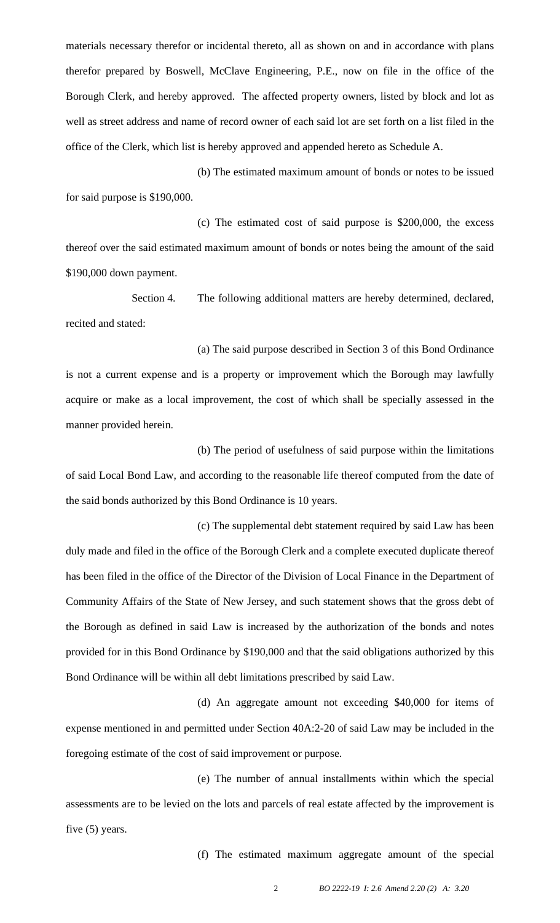materials necessary therefor or incidental thereto, all as shown on and in accordance with plans therefor prepared by Boswell, McClave Engineering, P.E., now on file in the office of the Borough Clerk, and hereby approved. The affected property owners, listed by block and lot as well as street address and name of record owner of each said lot are set forth on a list filed in the office of the Clerk, which list is hereby approved and appended hereto as Schedule A.

(b) The estimated maximum amount of bonds or notes to be issued for said purpose is \$190,000.

(c) The estimated cost of said purpose is \$200,000, the excess thereof over the said estimated maximum amount of bonds or notes being the amount of the said \$190,000 down payment.

Section 4. The following additional matters are hereby determined, declared, recited and stated:

(a) The said purpose described in Section 3 of this Bond Ordinance is not a current expense and is a property or improvement which the Borough may lawfully acquire or make as a local improvement, the cost of which shall be specially assessed in the manner provided herein.

(b) The period of usefulness of said purpose within the limitations of said Local Bond Law, and according to the reasonable life thereof computed from the date of the said bonds authorized by this Bond Ordinance is 10 years.

(c) The supplemental debt statement required by said Law has been duly made and filed in the office of the Borough Clerk and a complete executed duplicate thereof has been filed in the office of the Director of the Division of Local Finance in the Department of Community Affairs of the State of New Jersey, and such statement shows that the gross debt of the Borough as defined in said Law is increased by the authorization of the bonds and notes provided for in this Bond Ordinance by \$190,000 and that the said obligations authorized by this Bond Ordinance will be within all debt limitations prescribed by said Law.

(d) An aggregate amount not exceeding \$40,000 for items of expense mentioned in and permitted under Section 40A:2-20 of said Law may be included in the foregoing estimate of the cost of said improvement or purpose.

(e) The number of annual installments within which the special assessments are to be levied on the lots and parcels of real estate affected by the improvement is five (5) years.

(f) The estimated maximum aggregate amount of the special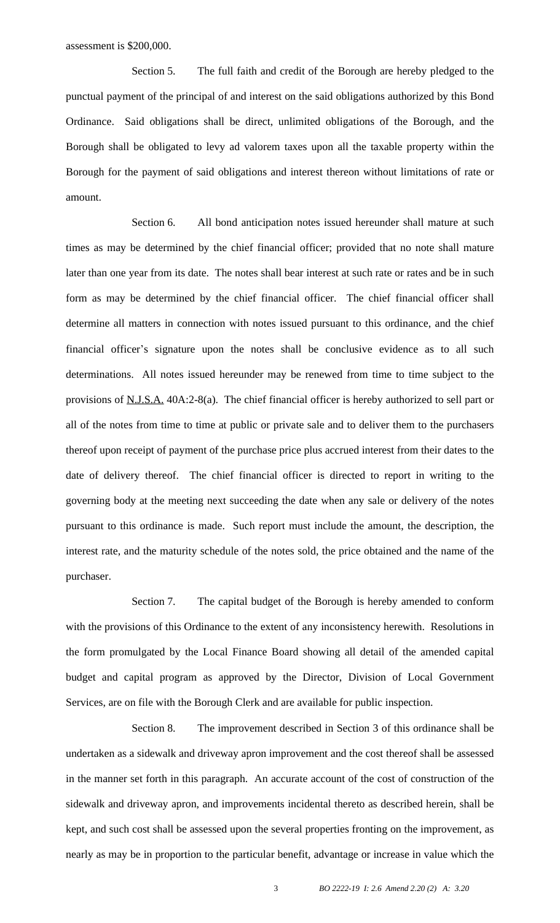Section 5. The full faith and credit of the Borough are hereby pledged to the punctual payment of the principal of and interest on the said obligations authorized by this Bond Ordinance. Said obligations shall be direct, unlimited obligations of the Borough, and the Borough shall be obligated to levy ad valorem taxes upon all the taxable property within the Borough for the payment of said obligations and interest thereon without limitations of rate or amount.

Section 6. All bond anticipation notes issued hereunder shall mature at such times as may be determined by the chief financial officer; provided that no note shall mature later than one year from its date. The notes shall bear interest at such rate or rates and be in such form as may be determined by the chief financial officer. The chief financial officer shall determine all matters in connection with notes issued pursuant to this ordinance, and the chief financial officer's signature upon the notes shall be conclusive evidence as to all such determinations. All notes issued hereunder may be renewed from time to time subject to the provisions of N.J.S.A. 40A:2-8(a). The chief financial officer is hereby authorized to sell part or all of the notes from time to time at public or private sale and to deliver them to the purchasers thereof upon receipt of payment of the purchase price plus accrued interest from their dates to the date of delivery thereof. The chief financial officer is directed to report in writing to the governing body at the meeting next succeeding the date when any sale or delivery of the notes pursuant to this ordinance is made. Such report must include the amount, the description, the interest rate, and the maturity schedule of the notes sold, the price obtained and the name of the purchaser.

Section 7. The capital budget of the Borough is hereby amended to conform with the provisions of this Ordinance to the extent of any inconsistency herewith. Resolutions in the form promulgated by the Local Finance Board showing all detail of the amended capital budget and capital program as approved by the Director, Division of Local Government Services, are on file with the Borough Clerk and are available for public inspection.

Section 8. The improvement described in Section 3 of this ordinance shall be undertaken as a sidewalk and driveway apron improvement and the cost thereof shall be assessed in the manner set forth in this paragraph. An accurate account of the cost of construction of the sidewalk and driveway apron, and improvements incidental thereto as described herein, shall be kept, and such cost shall be assessed upon the several properties fronting on the improvement, as nearly as may be in proportion to the particular benefit, advantage or increase in value which the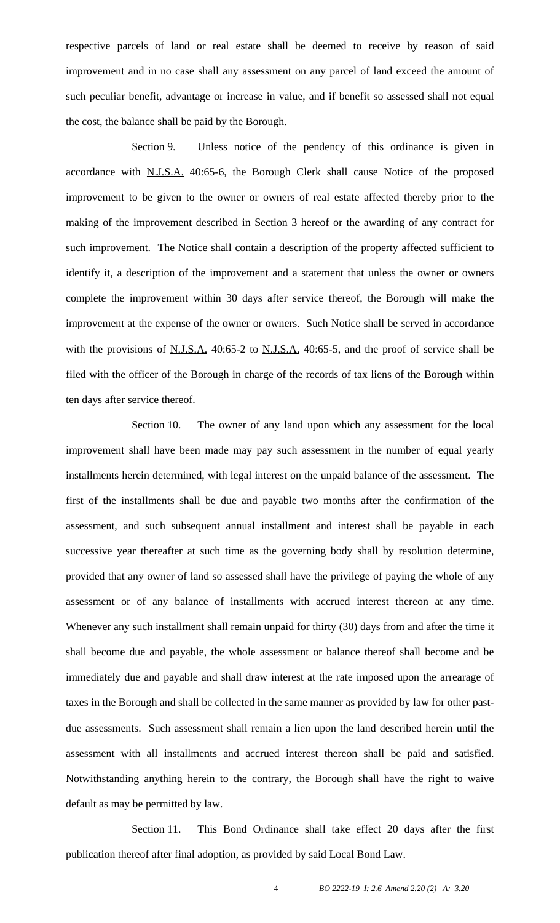respective parcels of land or real estate shall be deemed to receive by reason of said improvement and in no case shall any assessment on any parcel of land exceed the amount of such peculiar benefit, advantage or increase in value, and if benefit so assessed shall not equal the cost, the balance shall be paid by the Borough.

Section 9. Unless notice of the pendency of this ordinance is given in accordance with N.J.S.A. 40:65-6, the Borough Clerk shall cause Notice of the proposed improvement to be given to the owner or owners of real estate affected thereby prior to the making of the improvement described in Section 3 hereof or the awarding of any contract for such improvement. The Notice shall contain a description of the property affected sufficient to identify it, a description of the improvement and a statement that unless the owner or owners complete the improvement within 30 days after service thereof, the Borough will make the improvement at the expense of the owner or owners. Such Notice shall be served in accordance with the provisions of N.J.S.A. 40:65-2 to N.J.S.A. 40:65-5, and the proof of service shall be filed with the officer of the Borough in charge of the records of tax liens of the Borough within ten days after service thereof.

Section 10. The owner of any land upon which any assessment for the local improvement shall have been made may pay such assessment in the number of equal yearly installments herein determined, with legal interest on the unpaid balance of the assessment. The first of the installments shall be due and payable two months after the confirmation of the assessment, and such subsequent annual installment and interest shall be payable in each successive year thereafter at such time as the governing body shall by resolution determine, provided that any owner of land so assessed shall have the privilege of paying the whole of any assessment or of any balance of installments with accrued interest thereon at any time. Whenever any such installment shall remain unpaid for thirty (30) days from and after the time it shall become due and payable, the whole assessment or balance thereof shall become and be immediately due and payable and shall draw interest at the rate imposed upon the arrearage of taxes in the Borough and shall be collected in the same manner as provided by law for other pastdue assessments. Such assessment shall remain a lien upon the land described herein until the assessment with all installments and accrued interest thereon shall be paid and satisfied. Notwithstanding anything herein to the contrary, the Borough shall have the right to waive default as may be permitted by law.

Section 11. This Bond Ordinance shall take effect 20 days after the first publication thereof after final adoption, as provided by said Local Bond Law.

4 *BO 2222-19 I: 2.6 Amend 2.20 (2) A: 3.20*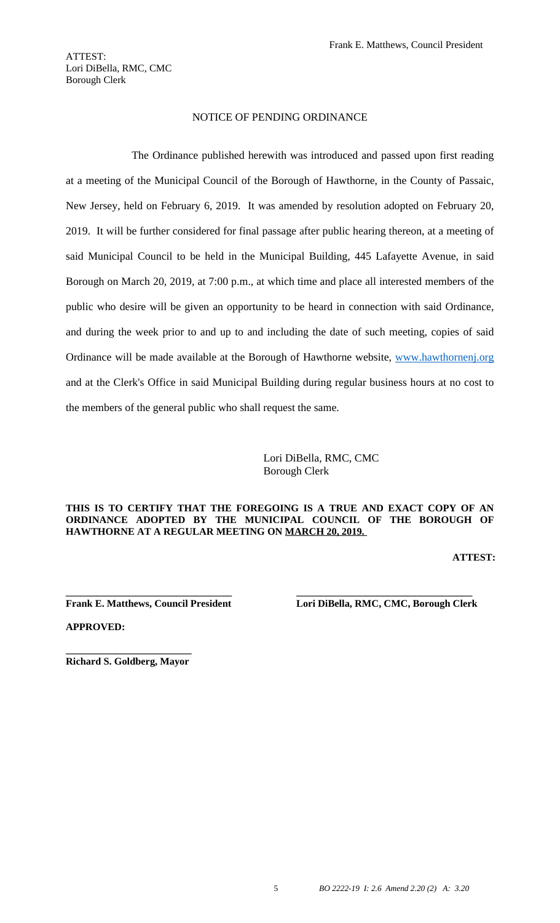New Jersey, held on February 6, 2019. It was amended by resolution adopted on February 20, 2019. It will be further considered for final passage after public hearing thereon, at a meeting of said Municipal Council to be held in the Municipal Building, 445 Lafayette Avenue, in said Borough on March 20, 2019, at 7:00 p.m., at which time and place all interested members of the public who desire will be given an opportunity to be heard in connection with said Ordinance, and during the week prior to and up to and including the date of such meeting, copies of said Ordinance will be made available at the Borough of Hawthorne website, www.hawthornenj.org and at the Clerk's Office in said Municipal Building during regular business hours at no cost to the members of the general public who shall request the same.

> Lori DiBella, RMC, CMC Borough Clerk

#### **THIS IS TO CERTIFY THAT THE FOREGOING IS A TRUE AND EXACT COPY OF AN ORDINANCE ADOPTED BY THE MUNICIPAL COUNCIL OF THE BOROUGH OF HAWTHORNE AT A REGULAR MEETING ON MARCH 20, 2019.**

**[ATTEST:](http://www.hawthornenj.org)**

**\_\_\_\_\_\_\_\_\_\_\_\_\_\_\_\_\_\_\_\_\_\_\_\_\_\_\_\_\_\_\_\_\_ \_\_\_\_\_\_\_\_\_\_\_\_\_\_\_\_\_\_\_\_\_\_\_\_\_\_\_\_\_\_\_\_\_\_\_ Frank E. Matthews, Council President Lori DiBella, RMC, CMC, Borough Clerk** 

**APPROVED:**

**\_\_\_\_\_\_\_\_\_\_\_\_\_\_\_\_\_\_\_\_\_\_\_\_\_ Richard S. Goldberg, Mayor**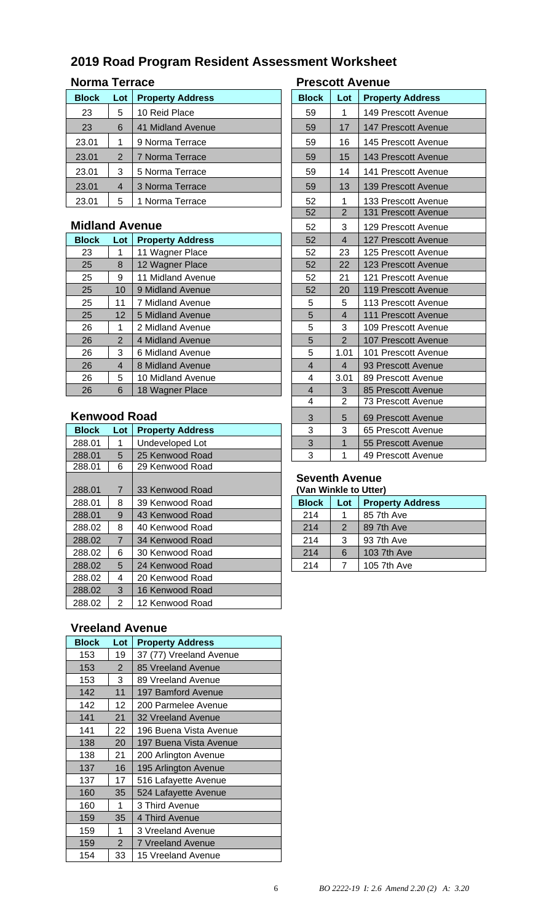# **2019 Road Program Resident Assessment Worksheet**

# **Norma Terrace Prescott A**

| <b>Block</b> | Lot            | <b>Property Address</b> | <b>Block</b> | Lot | <b>Property Address</b>    |
|--------------|----------------|-------------------------|--------------|-----|----------------------------|
| 23           | 5              | 10 Reid Place           | 59           | 1   | 149 Prescott Avenue        |
| 23           | 6              | 41 Midland Avenue       | 59           | 17  | <b>147 Prescott Avenue</b> |
| 23.01        |                | 9 Norma Terrace         | 59           | 16  | 145 Prescott Avenue        |
| 23.01        | 2              | 7 Norma Terrace         | 59           | 15  | 143 Prescott Avenue        |
| 23.01        | 3              | 5 Norma Terrace         | 59           | 14  | 141 Prescott Avenue        |
| 23.01        | $\overline{4}$ | 3 Norma Terrace         | 59           | 13  | 139 Prescott Avenue        |
| 23.01        | 5              | 1 Norma Terrace         | 52           | 1   | 133 Prescott Avenue        |
|              |                |                         |              |     |                            |

### **Midland Avenue**

| <b>Block</b> | Lot               | <b>Property Address</b> | 52             | $\overline{4}$ | 127 Prescott Avenue        |
|--------------|-------------------|-------------------------|----------------|----------------|----------------------------|
| 23           |                   | 11 Wagner Place         | 52             | 23             | 125 Prescott Avenue        |
| 25           | 8                 | 12 Wagner Place         | 52             | 22             | 123 Prescott Avenue        |
| 25           | 9                 | 11 Midland Avenue       | 52             | 21             | 121 Prescott Avenue        |
| 25           | 10                | 9 Midland Avenue        | 52             | 20             | 119 Prescott Avenue        |
| 25           | 11                | 7 Midland Avenue        | 5              | 5              | 113 Prescott Avenue        |
| 25           | $12 \overline{ }$ | 5 Midland Avenue        | 5              | $\overline{4}$ | <b>111 Prescott Avenue</b> |
| 26           | 1                 | 2 Midland Avenue        | 5              | 3              | 109 Prescott Avenue        |
| 26           | 2                 | 4 Midland Avenue        | 5              | 2              | <b>107 Prescott Avenue</b> |
| 26           | 3                 | 6 Midland Avenue        | 5              | 1.01           | 101 Prescott Avenue        |
| 26           | 4                 | 8 Midland Avenue        | $\overline{4}$ | $\overline{4}$ | 93 Prescott Avenue         |
| 26           | 5                 | 10 Midland Avenue       | 4              | 3.01           | 89 Prescott Avenue         |
| 26           | 6                 | 18 Wagner Place         | 4              | 3              | 85 Prescott Avenue         |

### **Kenwood Road**

| <b>Block</b> | Lot            | <b>Property Address</b> | 3                     | 3              | 65 Prescott Avenue      |
|--------------|----------------|-------------------------|-----------------------|----------------|-------------------------|
| 288.01       | 1              | Undeveloped Lot         | 3                     | 1              | 55 Prescott Avenue      |
| 288.01       | 5              | 25 Kenwood Road         | 3                     |                | 49 Prescott Avenue      |
| 288.01       | 6              | 29 Kenwood Road         |                       |                |                         |
|              |                |                         | <b>Seventh Avenue</b> |                |                         |
| 288.01       | $\overline{7}$ | 33 Kenwood Road         | (Van Winkle to Utter) |                |                         |
| 288.01       | 8              | 39 Kenwood Road         | <b>Block</b>          | Lot            | <b>Property Address</b> |
| 288.01       | 9              | 43 Kenwood Road         | 214                   | 1              | 85 7th Ave              |
| 288.02       | 8              | 40 Kenwood Road         | 214                   | $\overline{2}$ | 89 7th Ave              |
| 288.02       | $\overline{7}$ | 34 Kenwood Road         | 214                   | 3              | 93 7th Ave              |
| 288.02       | 6              | 30 Kenwood Road         | 214                   | 6              | 103 7th Ave             |
| 288.02       | 5              | 24 Kenwood Road         | 214                   | 7              | 105 7th Ave             |
| 288.02       | 4              | 20 Kenwood Road         |                       |                |                         |
| 288.02       | 3              | 16 Kenwood Road         |                       |                |                         |
| 288.02       | 2              | 12 Kenwood Road         |                       |                |                         |
|              |                |                         |                       |                |                         |

### **Vreeland Avenue**

| <b>Block</b> | Lot            | <b>Property Address</b>  |
|--------------|----------------|--------------------------|
| 153          | 19             | 37 (77) Vreeland Avenue  |
| 153          | $\overline{2}$ | 85 Vreeland Avenue       |
| 153          | 3              | 89 Vreeland Avenue       |
| 142          | 11             | 197 Bamford Avenue       |
| 142          | 12             | 200 Parmelee Avenue      |
| 141          | 21             | 32 Vreeland Avenue       |
| 141          | 22             | 196 Buena Vista Avenue   |
| 138          | 20             | 197 Buena Vista Avenue   |
| 138          | 21             | 200 Arlington Avenue     |
| 137          | 16             | 195 Arlington Avenue     |
| 137          | 17             | 516 Lafayette Avenue     |
| 160          | 35             | 524 Lafayette Avenue     |
| 160          | 1              | 3 Third Avenue           |
| 159          | 35             | 4 Third Avenue           |
| 159          | 1              | 3 Vreeland Avenue        |
| 159          | $\overline{2}$ | <b>7 Vreeland Avenue</b> |
| 154          | 33             | 15 Vreeland Avenue       |

| <b>Prescott Avenue</b> |                         |                            |  |  |  |  |  |  |
|------------------------|-------------------------|----------------------------|--|--|--|--|--|--|
| <b>Block</b>           | Lot                     | <b>Property Address</b>    |  |  |  |  |  |  |
| 59                     | 1                       | 149 Prescott Avenue        |  |  |  |  |  |  |
| 59                     | 17                      | 147 Prescott Avenue        |  |  |  |  |  |  |
| 59                     | 16                      | 145 Prescott Avenue        |  |  |  |  |  |  |
| 59                     | 15                      | 143 Prescott Avenue        |  |  |  |  |  |  |
| 59                     | 14                      | 141 Prescott Avenue        |  |  |  |  |  |  |
| 59                     | 13                      | <b>139 Prescott Avenue</b> |  |  |  |  |  |  |
| 52                     | 1                       | 133 Prescott Avenue        |  |  |  |  |  |  |
| $\overline{52}$        | $\overline{2}$          | 131 Prescott Avenue        |  |  |  |  |  |  |
| 52                     | 3                       | 129 Prescott Avenue        |  |  |  |  |  |  |
| 52                     | $\overline{4}$          | 127 Prescott Avenue        |  |  |  |  |  |  |
| 52                     | 23                      | 125 Prescott Avenue        |  |  |  |  |  |  |
| 52                     | 22                      | 123 Prescott Avenue        |  |  |  |  |  |  |
| 52                     | 21                      | 121 Prescott Avenue        |  |  |  |  |  |  |
| 52                     | 20                      | 119 Prescott Avenue        |  |  |  |  |  |  |
| 5                      | 5                       | 113 Prescott Avenue        |  |  |  |  |  |  |
| 5                      | $\overline{4}$          | 111 Prescott Avenue        |  |  |  |  |  |  |
| 5                      | 3                       | 109 Prescott Avenue        |  |  |  |  |  |  |
| 5                      | $\overline{c}$          | 107 Prescott Avenue        |  |  |  |  |  |  |
| 5                      | 1.01                    | 101 Prescott Avenue        |  |  |  |  |  |  |
| $\overline{4}$         | $\overline{\mathbf{4}}$ | 93 Prescott Avenue         |  |  |  |  |  |  |
| 4                      | 3.01                    | 89 Prescott Avenue         |  |  |  |  |  |  |
| $\overline{4}$         | 3                       | 85 Prescott Avenue         |  |  |  |  |  |  |
| 4                      | 2<br>73 Prescott Avenue |                            |  |  |  |  |  |  |
| 3                      | 5                       | 69 Prescott Avenue         |  |  |  |  |  |  |
| 3                      | 3                       | 65 Prescott Avenue         |  |  |  |  |  |  |
| 3                      | $\overline{1}$          | 55 Prescott Avenue         |  |  |  |  |  |  |
| 3                      | 1                       | 49 Prescott Avenue         |  |  |  |  |  |  |

## **Seventh Avenue**

| <b>Block</b> | Lot | <b>Property Address</b> |
|--------------|-----|-------------------------|
| 214          | 1   | 85 7th Ave              |
| 214          | 2   | 89 7th Ave              |
| 214          | 3   | 93 7th Ave              |
| 214          | 6   | 103 7th Ave             |
| 214          |     | 105 7th Ave             |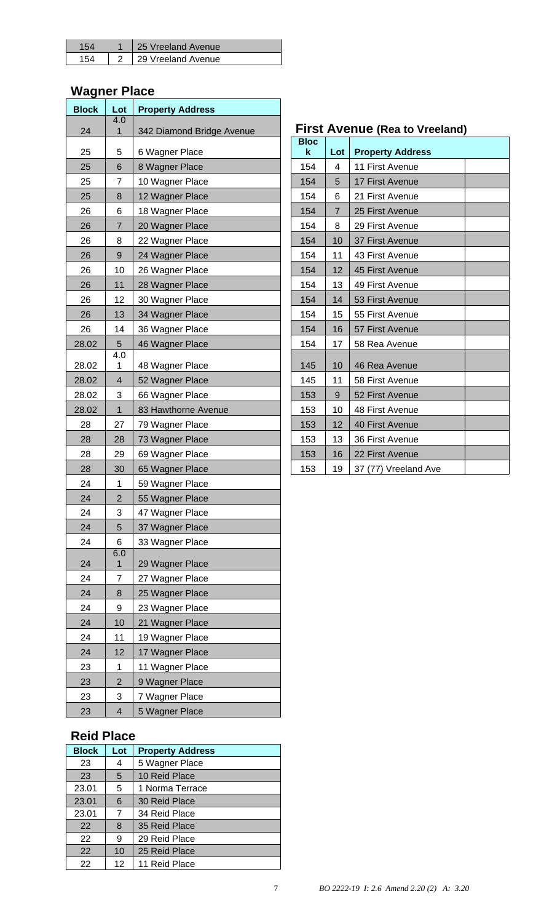|  | 25 Vreeland Avenue |
|--|--------------------|
|  | 29 Vreeland Avenue |

### **Wagner Place**

| <b>Block</b> | Lot<br>4.0              | <b>Property Address</b>                |                            |                |                                  |
|--------------|-------------------------|----------------------------------------|----------------------------|----------------|----------------------------------|
| 24           | 1                       | 342 Diamond Bridge Avenue              |                            |                | <b>First Avenue (Rea to Vree</b> |
| 25           | 5                       | 6 Wagner Place                         | <b>Bloc</b><br>$\mathbf k$ | Lot            | <b>Property Address</b>          |
| 25           | 6                       | 8 Wagner Place                         | 154                        | 4              | 11 First Avenue                  |
| 25           | 7                       | 10 Wagner Place                        | 154                        | 5              | 17 First Avenue                  |
| 25           | 8                       | 12 Wagner Place                        | 154                        | 6              | 21 First Avenue                  |
| 26           | 6                       | 18 Wagner Place                        | 154                        | $\overline{7}$ | 25 First Avenue                  |
| 26           | 7                       | 20 Wagner Place                        | 154                        | 8              | 29 First Avenue                  |
| 26           | 8                       | 22 Wagner Place                        | 154                        | 10             | 37 First Avenue                  |
| 26           | 9                       | 24 Wagner Place                        | 154                        | 11             | 43 First Avenue                  |
| 26           | 10                      | 26 Wagner Place                        | 154                        | 12             | 45 First Avenue                  |
| 26           | 11                      | 28 Wagner Place                        | 154                        | 13             | 49 First Avenue                  |
| 26           | 12                      | 30 Wagner Place                        | 154                        | 14             | 53 First Avenue                  |
| 26           | 13                      | 34 Wagner Place                        | 154                        | 15             | 55 First Avenue                  |
| 26           | 14                      | 36 Wagner Place                        | 154                        | 16             | 57 First Avenue                  |
| 28.02        | 5                       | 46 Wagner Place                        | 154                        | 17             | 58 Rea Avenue                    |
| 28.02        | 4.0<br>1                |                                        | 145                        | 10             |                                  |
| 28.02        | $\overline{\mathbf{4}}$ | 48 Wagner Place                        | 145                        | 11             | 46 Rea Avenue<br>58 First Avenue |
| 28.02        | 3                       | 52 Wagner Place                        | 153                        | 9              | 52 First Avenue                  |
| 28.02        | $\mathbf{1}$            | 66 Wagner Place<br>83 Hawthorne Avenue | 153                        | 10             | 48 First Avenue                  |
| 28           | 27                      | 79 Wagner Place                        | 153                        | 12             | 40 First Avenue                  |
| 28           | 28                      | 73 Wagner Place                        | 153                        | 13             | 36 First Avenue                  |
| 28           | 29                      | 69 Wagner Place                        | 153                        | 16             | 22 First Avenue                  |
| 28           | 30                      | 65 Wagner Place                        | 153                        | 19             | 37 (77) Vreeland Ave             |
| 24           | 1                       | 59 Wagner Place                        |                            |                |                                  |
| 24           | $\overline{c}$          | 55 Wagner Place                        |                            |                |                                  |
| 24           | 3                       | 47 Wagner Place                        |                            |                |                                  |
| 24           | 5                       | 37 Wagner Place                        |                            |                |                                  |
| 24           | 6                       | 33 Wagner Place                        |                            |                |                                  |
|              | 6.0                     |                                        |                            |                |                                  |
| 24           | $\mathbf{1}$            | 29 Wagner Place                        |                            |                |                                  |
| 24           | $\overline{7}$          | 27 Wagner Place                        |                            |                |                                  |
| 24           | 8                       | 25 Wagner Place                        |                            |                |                                  |
| 24           | 9                       | 23 Wagner Place                        |                            |                |                                  |
| 24           | 10                      | 21 Wagner Place                        |                            |                |                                  |
| 24           | 11                      | 19 Wagner Place                        |                            |                |                                  |
| 24           | 12                      | 17 Wagner Place                        |                            |                |                                  |
| 23           | 1                       | 11 Wagner Place                        |                            |                |                                  |
| 23           | $\overline{2}$          | 9 Wagner Place                         |                            |                |                                  |
| 23           | 3                       | 7 Wagner Place                         |                            |                |                                  |
| 23           | $\overline{4}$          | 5 Wagner Place                         |                            |                |                                  |

## **Reid Place**

| <b>Block</b>             | Lot | <b>Property Address</b> |
|--------------------------|-----|-------------------------|
| 23                       | 4   | 5 Wagner Place          |
| 10 Reid Place<br>23<br>5 |     |                         |
| 23.01                    | 5   | 1 Norma Terrace         |
| 23.01                    | 6   | 30 Reid Place           |
| 23.01                    | 7   | 34 Reid Place           |
| 22                       | 8   | 35 Reid Place           |
| 22                       | 9   | 29 Reid Place           |
| 22<br>10                 |     | 25 Reid Place           |
| 22                       | 12  | 11 Reid Place           |

# **1 542 First Avenue (Rea to Vreeland)**

| <b>Bloc</b><br>k | Lot            | <b>Property Address</b> |  |
|------------------|----------------|-------------------------|--|
| 154              | 4              | 11 First Avenue         |  |
| 154              | 5              | 17 First Avenue         |  |
| 154              | 6              | 21 First Avenue         |  |
| 154              | $\overline{7}$ | 25 First Avenue         |  |
| 154              | 8              | 29 First Avenue         |  |
| 154              | 10             | 37 First Avenue         |  |
| 154              | 11             | 43 First Avenue         |  |
| 154              | 12             | 45 First Avenue         |  |
| 154              | 13             | 49 First Avenue         |  |
| 154              | 14             | 53 First Avenue         |  |
| 154              | 15             | 55 First Avenue         |  |
| 154              | 16             | 57 First Avenue         |  |
| 154              | 17             | 58 Rea Avenue           |  |
| 145              | 10             | 46 Rea Avenue           |  |
| 145              | 11             | 58 First Avenue         |  |
| 153              | 9              | 52 First Avenue         |  |
| 153              | 10             | 48 First Avenue         |  |
| 153              | 12             | 40 First Avenue         |  |
| 153              | 13             | 36 First Avenue         |  |
| 153              | 16             | 22 First Avenue         |  |
| 153              | 19             | 37 (77) Vreeland Ave    |  |